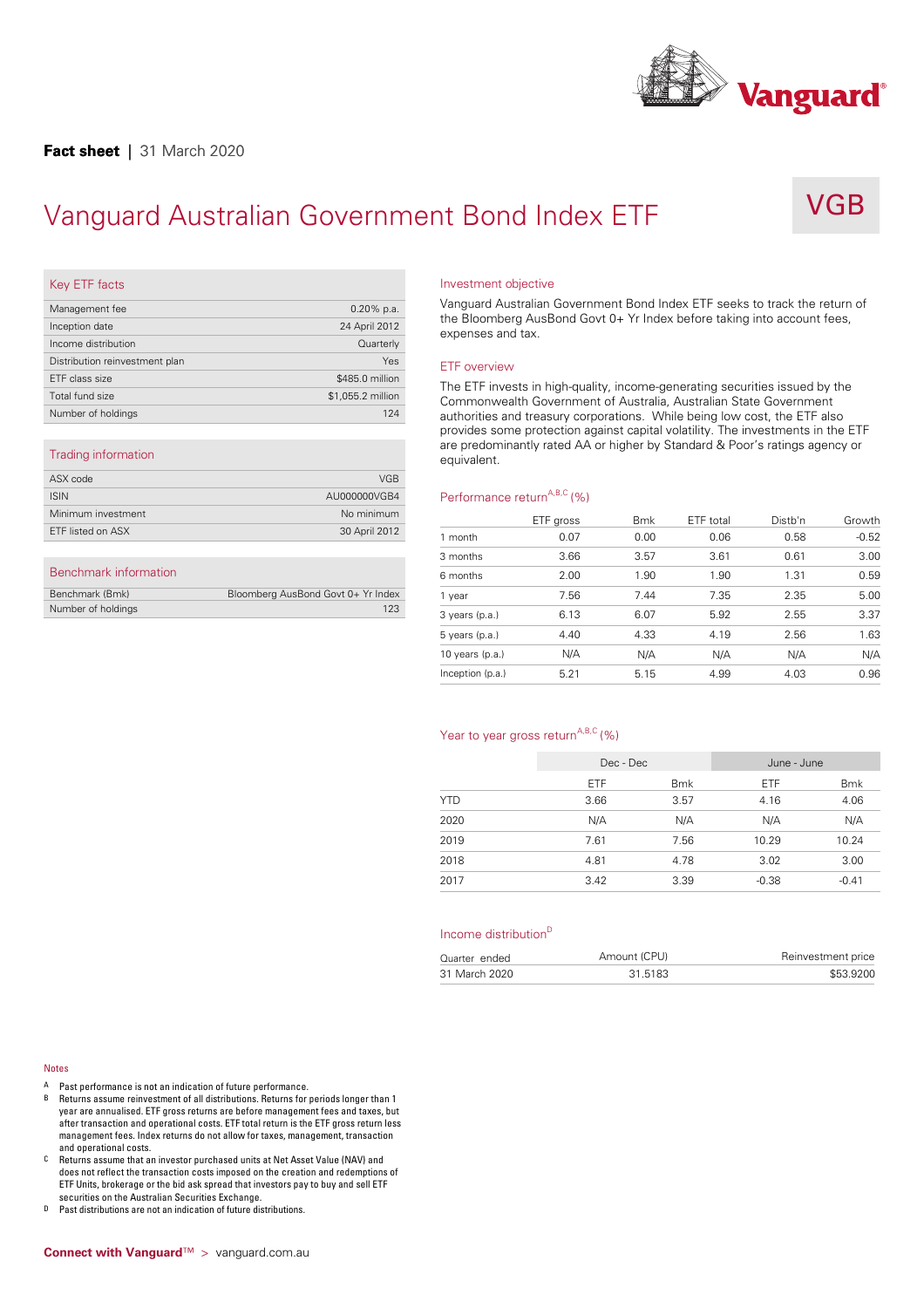

# Vanguard Australian Government Bond Index ETF



# Key ETF facts

| Management fee                 | $0.20\%$ p.a.     |
|--------------------------------|-------------------|
| Inception date                 | 24 April 2012     |
| Income distribution            | Quarterly         |
| Distribution reinvestment plan | Yes               |
| ETF class size                 | \$485.0 million   |
| Total fund size                | \$1,055.2 million |
| Number of holdings             | 124               |
|                                |                   |

## Trading information

| ASX code           | <b>VGB</b>    |      |
|--------------------|---------------|------|
| <b>ISIN</b>        | AU000000VGB4  | Perf |
| Minimum investment | No minimum    |      |
| ETF listed on ASX  | 30 April 2012 | mor  |
|                    |               |      |

# Benchmark information

| Benchmark (Bmk)    | Bloomberg AusBond Govt 0+ Yr Index |  |
|--------------------|------------------------------------|--|
| Number of holdings | 123                                |  |

#### Investment objective

Vanguard Australian Government Bond Index ETF seeks to track the return of the Bloomberg AusBond Govt 0+ Yr Index before taking into account fees, expenses and tax.

### ETF overview

The ETF invests in high-quality, income-generating securities issued by the Commonwealth Government of Australia, Australian State Government authorities and treasury corporations. While being low cost, the ETF also provides some protection against capital volatility. The investments in the ETF are predominantly rated AA or higher by Standard & Poor's ratings agency or equivalent.

## Performance return<sup>A,B,C</sup> (%)

|                   | ETF gross | <b>Bmk</b> | ETF total | Distb'n | Growth  |
|-------------------|-----------|------------|-----------|---------|---------|
| 1 month           | 0.07      | 0.00       | 0.06      | 0.58    | $-0.52$ |
| 3 months          | 3.66      | 3.57       | 3.61      | 0.61    | 3.00    |
| 6 months          | 2.00      | 1.90       | 1.90      | 1.31    | 0.59    |
| 1 year            | 7.56      | 7.44       | 7.35      | 2.35    | 5.00    |
| 3 years (p.a.)    | 6.13      | 6.07       | 5.92      | 2.55    | 3.37    |
| $5$ years (p.a.)  | 4.40      | 4.33       | 4.19      | 2.56    | 1.63    |
| 10 years $(p.a.)$ | N/A       | N/A        | N/A       | N/A     | N/A     |
| Inception (p.a.)  | 5.21      | 5.15       | 4.99      | 4.03    | 0.96    |

## Year to year gross return<sup>A,B,C</sup> (%)

|            | Dec - Dec  |            | June - June |            |
|------------|------------|------------|-------------|------------|
|            | <b>ETF</b> | <b>Bmk</b> | <b>ETF</b>  | <b>Bmk</b> |
| <b>YTD</b> | 3.66       | 3.57       | 4.16        | 4.06       |
| 2020       | N/A        | N/A        | N/A         | N/A        |
| 2019       | 7.61       | 7.56       | 10.29       | 10.24      |
| 2018       | 4.81       | 4.78       | 3.02        | 3.00       |
| 2017       | 3.42       | 3.39       | $-0.38$     | $-0.41$    |

### Income distribution D

| Quarter ended | Amount (CPU) | Reinvestment price |
|---------------|--------------|--------------------|
| 31 March 2020 | 31.5183      | \$53.9200          |
|               |              |                    |

#### Notes

- A Past performance is not an indication of future performance.<br>B Beturns assume reinvestment of all distributions Beturns for
- B Returns assume reinvestment of all distributions. Returns for periods longer than 1 year are annualised. ETF gross returns are before management fees and taxes, but after transaction and operational costs. ETF total return is the ETF gross return less management fees. Index returns do not allow for taxes, management, transaction and operational costs.
- C Returns assume that an investor purchased units at Net Asset Value (NAV) and does not reflect the transaction costs imposed on the creation and redemptions of ETF Units, brokerage orthe bid ask spread that investors pay to buy and sell ETF securities on the Australian Securities Exchange.
- D Past distributions are not an indication of future distributions.